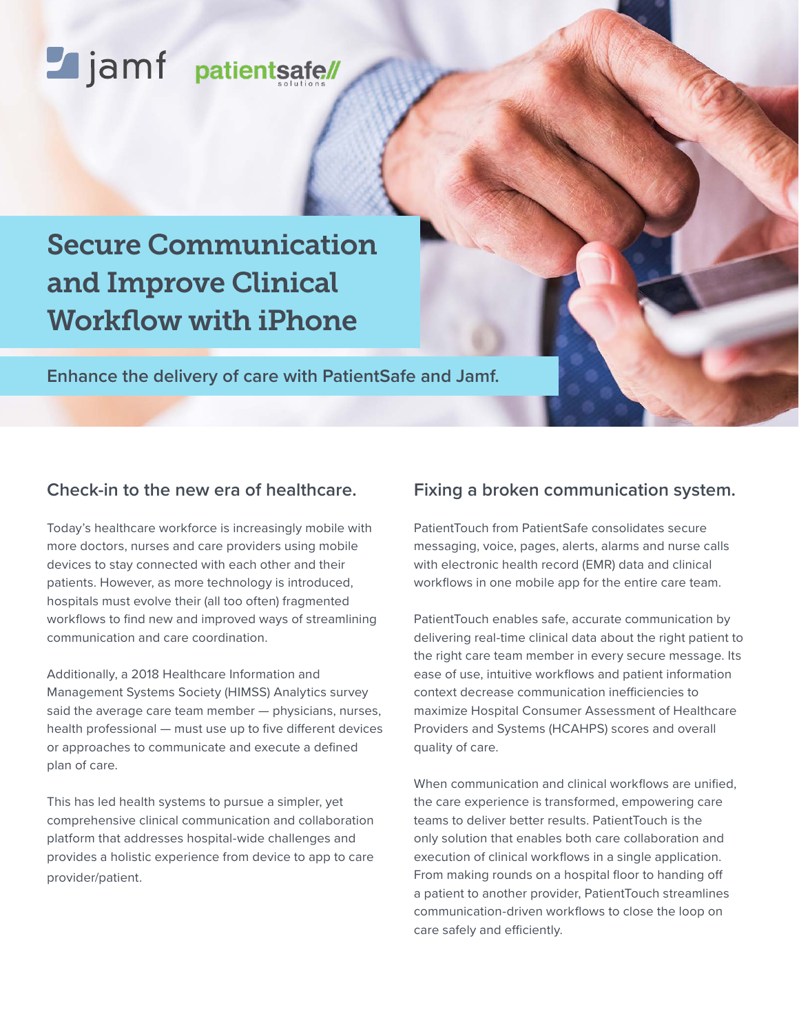# Lijamf patientsafe/

## Secure Communication and Improve Clinical Workflow with iPhone

**Enhance the delivery of care with PatientSafe and Jamf.**

### **Check-in to the new era of healthcare.**

Today's healthcare workforce is increasingly mobile with more doctors, nurses and care providers using mobile devices to stay connected with each other and their patients. However, as more technology is introduced, hospitals must evolve their (all too often) fragmented workflows to find new and improved ways of streamlining communication and care coordination.

Additionally, a 2018 Healthcare Information and Management Systems Society (HIMSS) Analytics survey said the average care team member — physicians, nurses, health professional — must use up to five different devices or approaches to communicate and execute a defined plan of care.

This has led health systems to pursue a simpler, yet comprehensive clinical communication and collaboration platform that addresses hospital-wide challenges and provides a holistic experience from device to app to care provider/patient.

#### **Fixing a broken communication system.**

PatientTouch from PatientSafe consolidates secure messaging, voice, pages, alerts, alarms and nurse calls with electronic health record (EMR) data and clinical workflows in one mobile app for the entire care team.

PatientTouch enables safe, accurate communication by delivering real-time clinical data about the right patient to the right care team member in every secure message. Its ease of use, intuitive workflows and patient information context decrease communication inefficiencies to maximize Hospital Consumer Assessment of Healthcare Providers and Systems (HCAHPS) scores and overall quality of care.

When communication and clinical workflows are unified, the care experience is transformed, empowering care teams to deliver better results. PatientTouch is the only solution that enables both care collaboration and execution of clinical workflows in a single application. From making rounds on a hospital floor to handing off a patient to another provider, PatientTouch streamlines communication-driven workflows to close the loop on care safely and efficiently.